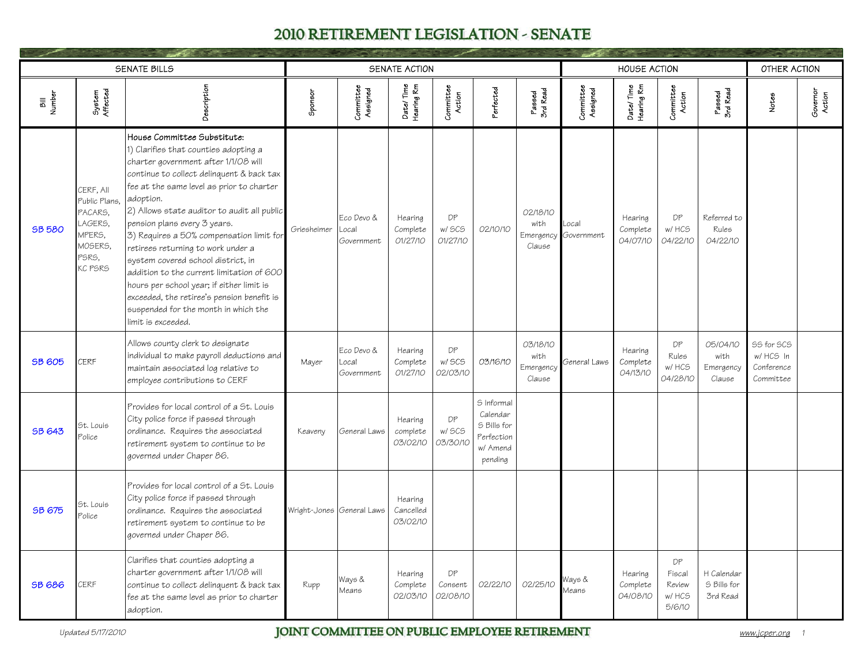|                |                                                                                           | <b>SENATE BILLS</b>                                                                                                                                                                                                                                                                                                                                                                                                                                                                                                                                                                                                              |                           |                                   | SENATE ACTION                    |                           |                                                                            |                                         |                               | <b>HOUSE ACTION</b>             |                                           |                                         | OTHER ACTION                                              |                    |
|----------------|-------------------------------------------------------------------------------------------|----------------------------------------------------------------------------------------------------------------------------------------------------------------------------------------------------------------------------------------------------------------------------------------------------------------------------------------------------------------------------------------------------------------------------------------------------------------------------------------------------------------------------------------------------------------------------------------------------------------------------------|---------------------------|-----------------------------------|----------------------------------|---------------------------|----------------------------------------------------------------------------|-----------------------------------------|-------------------------------|---------------------------------|-------------------------------------------|-----------------------------------------|-----------------------------------------------------------|--------------------|
| Bill<br>Number | System<br>Affected                                                                        | Description                                                                                                                                                                                                                                                                                                                                                                                                                                                                                                                                                                                                                      | Sponsor                   | Committee<br>Assigned             | Date/Time<br>Hearing Rm          | Committee<br>Action       | Perfected                                                                  | Passed<br>3rd Read                      | Committee<br>Assigned         | Date/Time<br>Hearing Rm         | Committee<br>Action                       | Passed<br>3rd Read                      | Notes                                                     | Governor<br>Action |
| <b>SB 580</b>  | CERF, All<br>Public Plans,<br>PACARS.<br>LAGERS.<br>MPERS,<br>MOSERS,<br>PSRS.<br>KC PSRS | House Committee Substitute:<br>1) Clarifies that counties adopting a<br>charter government after 1/1/08 will<br>continue to collect delinquent & back tax<br>fee at the same level as prior to charter<br>adoption.<br>2) Allows state auditor to audit all public<br>pension plans every 3 years.<br>3) Requires a 50% compensation limit for<br>retirees returning to work under a<br>system covered school district, in<br>addition to the current limitation of 600<br>hours per school year; if either limit is<br>exceeded, the retiree's pension benefit is<br>suspended for the month in which the<br>limit is exceeded. | Griesheimer               | Eco Devo &<br>Local<br>Government | Hearing<br>Complete<br>01/27/10  | DP<br>w/ SCS<br>01/27/10  | 02/10/10                                                                   | 02/18/10<br>with<br>Clause              | Local<br>Emergency Government | Hearing<br>Complete<br>04/07/10 | DP<br>w/HCS<br>04/22/10                   | Referred to<br>Rules<br>04/22/10        |                                                           |                    |
| <b>SB 605</b>  | CERF                                                                                      | Allows county clerk to designate<br>individual to make payroll deductions and<br>maintain associated log relative to<br>employee contributions to CERF                                                                                                                                                                                                                                                                                                                                                                                                                                                                           | Mayer                     | Eco Devo &<br>Local<br>Government | Hearing<br>Complete<br>01/27/10  | DP<br>w/ SCS<br>02/03/10  | 03/16/10                                                                   | 03/18/10<br>with<br>Emergency<br>Clause | General Laws                  | Hearing<br>Complete<br>04/13/10 | DP<br>Rules<br>w/ HCS<br>04/28/10         | 05/04/10<br>with<br>Emergency<br>Clause | <b>SS for SCS</b><br>w/ HCS In<br>Conference<br>Committee |                    |
| <b>SB 643</b>  | St. Louis<br>Police                                                                       | Provides for local control of a St. Louis<br>City police force if passed through<br>ordinance. Requires the associated<br>retirement system to continue to be<br>governed under Chaper 86.                                                                                                                                                                                                                                                                                                                                                                                                                                       | Keaveny                   | General Laws                      | Hearing<br>complete<br>03/02/10  | DP<br>w/ SCS<br>03/30/10  | S Informal<br>Calendar<br>S Bills for<br>Perfection<br>w/ Amend<br>pending |                                         |                               |                                 |                                           |                                         |                                                           |                    |
| <b>SB 675</b>  | St. Louis<br>Police                                                                       | Provides for local control of a St. Louis<br>City police force if passed through<br>ordinance. Requires the associated<br>retirement system to continue to be<br>governed under Chaper 86.                                                                                                                                                                                                                                                                                                                                                                                                                                       | Wright-Jones General Laws |                                   | Hearing<br>Cancelled<br>03/02/10 |                           |                                                                            |                                         |                               |                                 |                                           |                                         |                                                           |                    |
| <b>SB 686</b>  | CERF                                                                                      | Clarifies that counties adopting a<br>charter government after 1/1/08 will<br>continue to collect delinquent & back tax<br>fee at the same level as prior to charter<br>adoption.                                                                                                                                                                                                                                                                                                                                                                                                                                                | Rupp                      | Ways &<br>Means                   | Hearing<br>Complete<br>02/03/10  | DP<br>Consent<br>02/08/10 | 02/22/10                                                                   | 02/25/10                                | Nays &<br>Vleans              | Hearing<br>Complete<br>04/08/10 | DP<br>Fiscal<br>Review<br>w/HCS<br>5/6/10 | H Calendar<br>S Bills for<br>3rd Read   |                                                           |                    |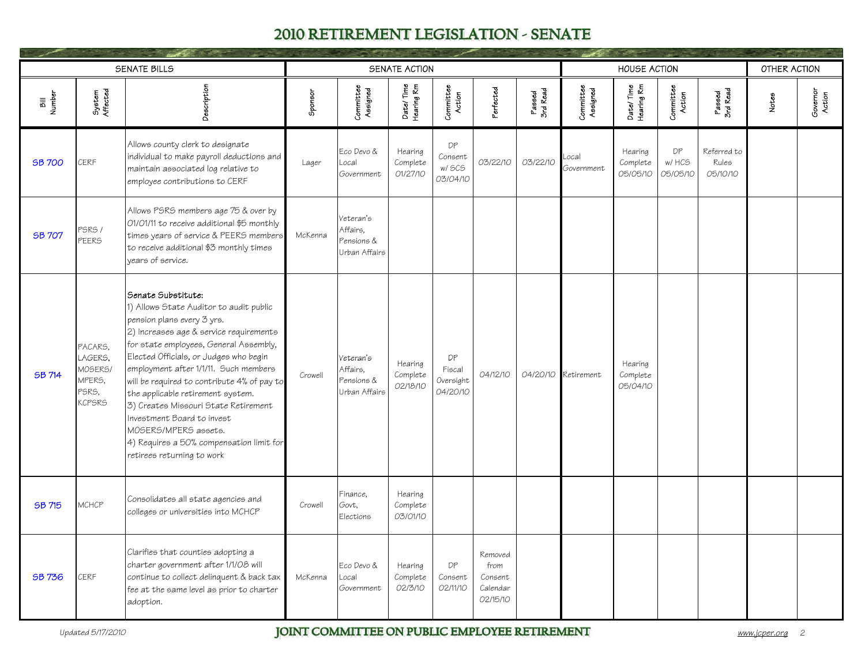|                |                                                                   | <b>SENATE BILLS</b>                                                                                                                                                                                                                                                                                                                                                                                                                                                                                                             |         |                                                      | SENATE ACTION                   |                                       |                                                    |                    |                       | <b>HOUSE ACTION</b>             |                          |                                  | OTHER ACTION |                    |
|----------------|-------------------------------------------------------------------|---------------------------------------------------------------------------------------------------------------------------------------------------------------------------------------------------------------------------------------------------------------------------------------------------------------------------------------------------------------------------------------------------------------------------------------------------------------------------------------------------------------------------------|---------|------------------------------------------------------|---------------------------------|---------------------------------------|----------------------------------------------------|--------------------|-----------------------|---------------------------------|--------------------------|----------------------------------|--------------|--------------------|
| Bill<br>Number | System<br>Affected                                                | Description                                                                                                                                                                                                                                                                                                                                                                                                                                                                                                                     | Sponsor | Committee<br>Assigned                                | Date/Time<br>Hearing Rm         | Committee<br>Action                   | Perfected                                          | Passed<br>3rd Read | Committee<br>Assigned | Date/Time<br>Hearing Rm         | Committee<br>Action      | Passed<br>3rd Read               | Notes        | Governor<br>Action |
| <b>SB 700</b>  | CERF                                                              | Allows county clerk to designate<br>individual to make payroll deductions and<br>maintain associated log relative to<br>employee contributions to CERF                                                                                                                                                                                                                                                                                                                                                                          | Lager   | Eco Devo &<br>Local<br>Government                    | Hearing<br>Complete<br>01/27/10 | DP<br>Consent<br>w/ SCS<br>03/04/10   | 03/22/10                                           | 03/22/10           | .ocal<br>Government   | Hearing<br>Complete<br>05/05/10 | DP<br>w/ HCS<br>05/05/10 | Referred to<br>Rules<br>05/10/10 |              |                    |
| <b>SB 707</b>  | PSRS /<br>PEERS                                                   | Allows PSRS members age 75 & over by<br>01/01/11 to receive additional \$5 monthly<br>times years of service & PEERS members<br>to receive additional \$3 monthly times<br>vears of service.                                                                                                                                                                                                                                                                                                                                    | McKenna | Veteran's<br>Affairs.<br>Pensions &<br>Urban Affairs |                                 |                                       |                                                    |                    |                       |                                 |                          |                                  |              |                    |
| <b>SB 714</b>  | PACARS,<br>LAGERS,<br>MOSERS/<br>MPERS,<br>PSRS.<br><b>KCPSRS</b> | Senate Substitute:<br>1) Allows State Auditor to audit public<br>pension plans every 3 yrs.<br>2) Increases age & service requirements<br>for state employees, General Assembly,<br>Elected Officials, or Judges who begin<br>employment after 1/1/11. Such members<br>will be required to contribute 4% of pay to<br>the applicable retirement system.<br>3) Creates Missouri State Retirement<br>Investment Board to invest<br>MOSERS/MPERS assets.<br>4) Requires a 50% compensation limit for<br>retirees returning to work | Crowell | Veteran's<br>Affairs,<br>Pensions &<br>Urban Affairs | Hearing<br>Complete<br>02/18/10 | DP<br>Fiscal<br>Oversight<br>04/20/10 | 04/12/10                                           |                    | 04/20/10 Retirement   | Hearing<br>Complete<br>05/04/10 |                          |                                  |              |                    |
| SB 715         | MCHCP                                                             | Consolidates all state agencies and<br>colleges or universities into MCHCP                                                                                                                                                                                                                                                                                                                                                                                                                                                      | Crowell | Finance,<br>Govt,<br>Elections                       | Hearing<br>Complete<br>03/01/10 |                                       |                                                    |                    |                       |                                 |                          |                                  |              |                    |
| SB 736         | <b>CERF</b>                                                       | Clarifies that counties adopting a<br>charter government after 1/1/08 will<br>continue to collect delinquent & back tax<br>fee at the same level as prior to charter<br>adoption.                                                                                                                                                                                                                                                                                                                                               | McKenna | Eco Devo &<br>Local<br>Government                    | Hearing<br>Complete<br>02/3/10  | DP<br>Consent<br>02/11/10             | Removed<br>from<br>Consent<br>Calendar<br>02/15/10 |                    |                       |                                 |                          |                                  |              |                    |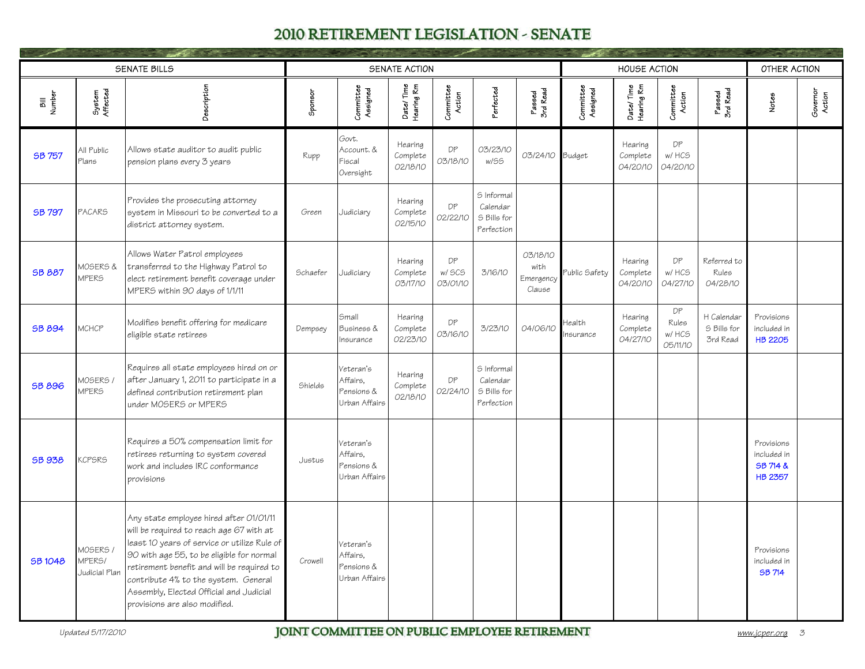|                |                                     | SENATE BILLS                                                                                                                                                                                                                                                                                                                                       |          |                                                      | SENATE ACTION                   |                          |                                                     |                                         |                       | <b>HOUSE ACTION</b>             |                                   |                                       | OTHER ACTION                                            |                    |
|----------------|-------------------------------------|----------------------------------------------------------------------------------------------------------------------------------------------------------------------------------------------------------------------------------------------------------------------------------------------------------------------------------------------------|----------|------------------------------------------------------|---------------------------------|--------------------------|-----------------------------------------------------|-----------------------------------------|-----------------------|---------------------------------|-----------------------------------|---------------------------------------|---------------------------------------------------------|--------------------|
| Bill<br>Number | System<br>Affected                  | Description                                                                                                                                                                                                                                                                                                                                        | Sponsor  | Committee<br>Assigned                                | Date/Time<br>Hearing Rm         | Committee<br>Action      | Perfected                                           | Passed<br>3rd Read                      | Committee<br>Assigned | Date/Time<br>Hearing Rm         | Committee<br>Action               | Passed<br>3rd Read                    | Notes                                                   | Governor<br>Action |
| SB 757         | All Public<br>Plans                 | Allows state auditor to audit public<br>pension plans every 3 years                                                                                                                                                                                                                                                                                | Rupp     | Govt.<br>Account. &<br>Fiscal<br>Oversight           | Hearing<br>Complete<br>02/18/10 | DP<br>03/18/10           | 03/23/10<br>w/SS                                    | 03/24/10                                | Budget                | Hearing<br>Complete<br>04/20/10 | <b>DP</b><br>w/ HCS<br>04/20/10   |                                       |                                                         |                    |
| SB 797         | <b>PACARS</b>                       | Provides the prosecuting attorney<br>system in Missouri to be converted to a<br>district attorney system.                                                                                                                                                                                                                                          | Green    | Judiciary                                            | Hearing<br>Complete<br>02/15/10 | DP<br>02/22/10           | S Informal<br>Calendar<br>S Bills for<br>Perfection |                                         |                       |                                 |                                   |                                       |                                                         |                    |
| <b>SB 887</b>  | MOSERS &<br><b>MPERS</b>            | Allows Water Patrol employees<br>transferred to the Highway Patrol to<br>elect retirement benefit coverage under<br>MPERS within 90 days of 1/1/11                                                                                                                                                                                                 | Schaefer | Judiciary                                            | Hearing<br>Complete<br>03/17/10 | DP<br>w/ SCS<br>03/01/10 | 3/16/10                                             | 03/18/10<br>with<br>Emergency<br>Clause | ublic Safety          | Hearing<br>Complete<br>04/20/10 | DP<br>w/ HCS<br>04/27/10          | Referred to<br>Rules<br>04/28/10      |                                                         |                    |
| <b>SB 894</b>  | MCHCP                               | Modifies benefit offering for medicare<br>eligible state retirees                                                                                                                                                                                                                                                                                  | Dempsey  | Small<br>Business &<br>Insurance                     | Hearing<br>Complete<br>02/23/10 | DP<br>03/16/10           | 3/23/10                                             | 04/06/10                                | tealth<br>nsurance    | Hearing<br>Complete<br>04/27/10 | DP<br>Rules<br>w/ HCS<br>05/11/10 | H Calendar<br>S Bills for<br>3rd Read | Provisions<br>included in<br><b>HB 2205</b>             |                    |
| <b>SB 896</b>  | <b>MOSERS /</b><br><b>MPERS</b>     | Requires all state employees hired on or<br>after January 1, 2011 to participate in a<br>defined contribution retirement plan<br>under MOSERS or MPERS                                                                                                                                                                                             | Shields  | Veteran's<br>Affairs.<br>Pensions &<br>Urban Affairs | Hearing<br>Complete<br>02/18/10 | DP<br>02/24/10           | S Informal<br>Calendar<br>S Bills for<br>Perfection |                                         |                       |                                 |                                   |                                       |                                                         |                    |
| <b>SB 938</b>  | <b>KCPSRS</b>                       | Requires a 50% compensation limit for<br>retirees returning to system covered<br>work and includes IRC conformance<br>provisions                                                                                                                                                                                                                   | Justus   | Veteran's<br>Affairs.<br>Pensions &<br>Urban Affairs |                                 |                          |                                                     |                                         |                       |                                 |                                   |                                       | Provisions<br>included in<br>SB 714 &<br><b>HB 2357</b> |                    |
| <b>SB1048</b>  | MOSERS /<br>MPERS/<br>Judicial Plan | Any state employee hired after 01/01/11<br>will be required to reach age 67 with at<br>least 10 years of service or utilize Rule of<br>90 with age 55, to be eligible for normal<br>retirement benefit and will be required to<br>contribute 4% to the system. General<br>Assembly, Elected Official and Judicial<br>provisions are also modified. | Crowell  | Veteran's<br>Affairs,<br>Pensions &<br>Urban Affairs |                                 |                          |                                                     |                                         |                       |                                 |                                   |                                       | Provisions<br>included in<br><b>SB 714</b>              |                    |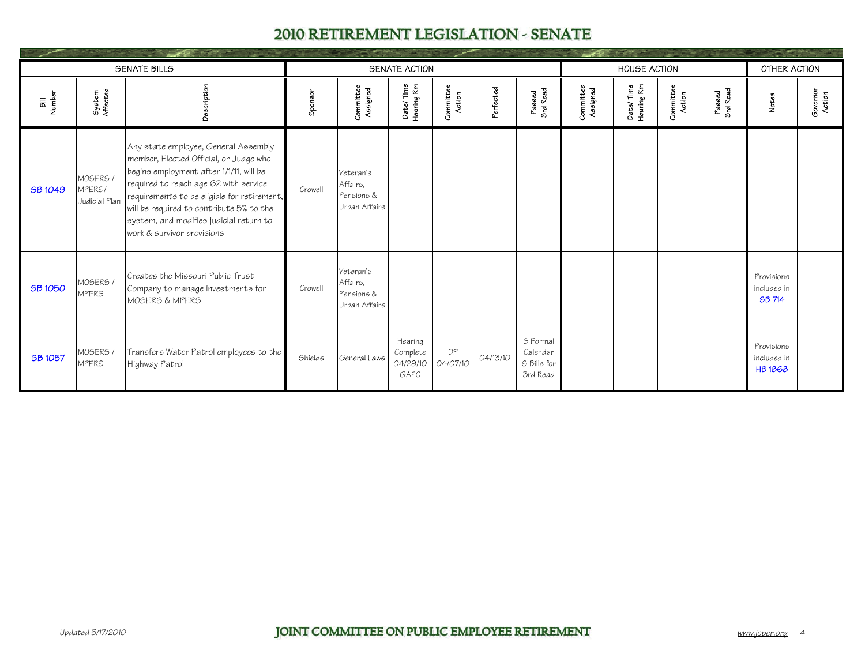|                |                                                  | <b>SENATE BILLS</b>                                                                                                                                                                                                                                                                                                                    |         |                                                      | SENATE ACTION                           |                     |                       |                                                 |                       | <b>HOUSE ACTION</b>     |                     |                    | OTHER ACTION                               |                    |
|----------------|--------------------------------------------------|----------------------------------------------------------------------------------------------------------------------------------------------------------------------------------------------------------------------------------------------------------------------------------------------------------------------------------------|---------|------------------------------------------------------|-----------------------------------------|---------------------|-----------------------|-------------------------------------------------|-----------------------|-------------------------|---------------------|--------------------|--------------------------------------------|--------------------|
| Bill<br>Number | System<br>Affected                               | Descriptior                                                                                                                                                                                                                                                                                                                            | Sponsor | Committee<br>Assigned                                | Date/Time<br>Hearing Rm                 | Committee<br>Action | <sup>P</sup> erfected | Passed<br>3rd Read                              | Committee<br>Assigned | Date/Time<br>Hearing Rm | Committee<br>Action | Passed<br>3rd Read | Notes                                      | Governor<br>Action |
| <b>SB 1049</b> | MOSERS /<br>MPER <sub>5</sub> /<br>Judicial Plan | Any state employee, General Assembly<br>member, Elected Official, or Judge who<br>begins employment after 1/1/11, will be<br>required to reach age 62 with service<br>requirements to be eligible for retirement,<br>will be required to contribute 5% to the<br>system, and modifies judicial return to<br>work & survivor provisions | Crowell | Veteran's<br>Affairs.<br>Pensions &<br>Urban Affairs |                                         |                     |                       |                                                 |                       |                         |                     |                    |                                            |                    |
| <b>SB 1050</b> | MOSERS /<br><b>MPERS</b>                         | Creates the Missouri Public Trust<br>Company to manage investments for<br>MOSERS & MPERS                                                                                                                                                                                                                                               | Crowell | Veteran's<br>Affairs,<br>Pensions &<br>Urban Affairs |                                         |                     |                       |                                                 |                       |                         |                     |                    | Provisions<br>included in<br><b>SB 714</b> |                    |
| SB 1057        | MOSERS /<br><b>MPERS</b>                         | Transfers Water Patrol employees to the<br>Highway Patrol                                                                                                                                                                                                                                                                              | Shields | General Laws                                         | Hearing<br>Complete<br>04/29/10<br>GAFO | DP<br>04/07/10      | 04/13/10              | S Formal<br>Calendar<br>S Bills for<br>3rd Read |                       |                         |                     |                    | Provisions<br>included in<br><b>HB1868</b> |                    |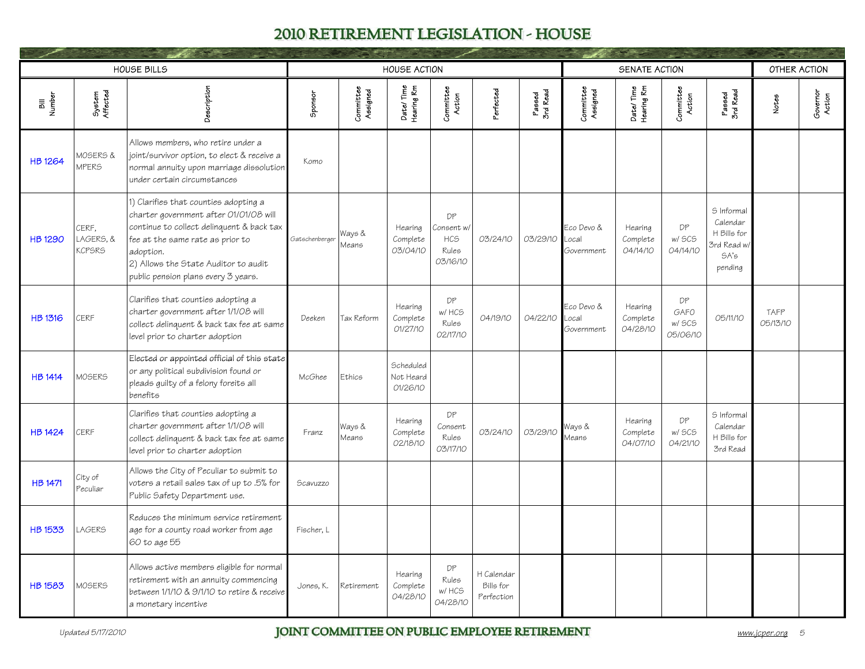|                |                                     | <b>HOUSE BILLS</b>                                                                                                                                                                                                                                           |               |                       | <b>HOUSE ACTION</b>                |                                                     |                                       |                    |                                   | SENATE ACTION                   |                                  |                                                                        | OTHER ACTION     |                    |
|----------------|-------------------------------------|--------------------------------------------------------------------------------------------------------------------------------------------------------------------------------------------------------------------------------------------------------------|---------------|-----------------------|------------------------------------|-----------------------------------------------------|---------------------------------------|--------------------|-----------------------------------|---------------------------------|----------------------------------|------------------------------------------------------------------------|------------------|--------------------|
| Bill<br>Number | System<br>Affected                  | Description                                                                                                                                                                                                                                                  | Sponsor       | Committee<br>Assigned | Date/Time<br>Hearing Rm            | Committee<br>Action                                 | Perfected                             | Passed<br>3rd Read | Committee<br>Assigned             | Date/Time<br>Hearing Rm         | Committee<br>Action              | Passed<br>3rd Read                                                     | Notes            | Governor<br>Action |
| <b>HB 1264</b> | MOSERS &<br><b>MPERS</b>            | Allows members, who retire under a<br>joint/survivor option, to elect & receive a<br>normal annuity upon marriage dissolution<br>under certain circumstances                                                                                                 | Komo          |                       |                                    |                                                     |                                       |                    |                                   |                                 |                                  |                                                                        |                  |                    |
| <b>HB 1290</b> | CERF,<br>LAGERS, &<br><b>KCPSRS</b> | 1) Clarifies that counties adopting a<br>charter government after 01/01/08 will<br>continue to collect delinquent & back tax<br>fee at the same rate as prior to<br>adoption.<br>2) Allows the State Auditor to audit<br>public pension plans every 3 years. | Gatschenberge | Ways &<br>Means       | Hearing<br>Complete<br>03/04/10    | DP<br>Consent w/<br><b>HCS</b><br>Rules<br>03/16/10 | 03/24/10                              | 03/29/10           | Eco Devo &<br>Local<br>Government | Hearing<br>Complete<br>04/14/10 | DP<br>w/ SCS<br>04/14/10         | S Informal<br>Calendar<br>H Bills for<br>3rd Read w<br>SA's<br>pending |                  |                    |
| <b>HB 1316</b> | CERF                                | Clarifies that counties adopting a<br>charter government after 1/1/08 will<br>collect delinquent & back tax fee at same<br>level prior to charter adoption                                                                                                   | Deeken        | Tax Reform            | Hearing<br>Complete<br>01/27/10    | DP<br>w/ HCS<br>Rules<br>02/17/10                   | 04/19/10                              | 04/22/10           | Eco Devo &<br>ocal<br>Government  | Hearing<br>Complete<br>04/28/10 | DP<br>GAFO<br>w/ SCS<br>05/06/10 | 05/11/10                                                               | TAFP<br>05/13/10 |                    |
| <b>HB 1414</b> | MOSERS                              | Elected or appointed official of this state<br>or any political subdivision found or<br>pleads guilty of a felony foreits all<br>benefits                                                                                                                    | McGhee        | Ethics                | Scheduled<br>Not Heard<br>01/26/10 |                                                     |                                       |                    |                                   |                                 |                                  |                                                                        |                  |                    |
| <b>HB 1424</b> | CERF                                | Clarifies that counties adopting a<br>charter government after 1/1/08 will<br>collect delinquent & back tax fee at same<br>level prior to charter adoption                                                                                                   | Franz         | Ways &<br>Means       | Hearing<br>Complete<br>02/18/10    | DP<br>Consent<br>Rules<br>03/17/10                  | 03/24/10                              | 03/29/10           | Ways &<br>Means                   | Hearing<br>Complete<br>04/07/10 | DP<br>w/ SCS<br>04/21/10         | S Informal<br>Calendar<br>H Bills for<br>3rd Read                      |                  |                    |
| <b>HB 1471</b> | City of<br>Peculiar                 | Allows the City of Peculiar to submit to<br>voters a retail sales tax of up to .5% for<br>Public Safety Department use.                                                                                                                                      | Scavuzzo      |                       |                                    |                                                     |                                       |                    |                                   |                                 |                                  |                                                                        |                  |                    |
| <b>HB 1533</b> | <b>LAGERS</b>                       | Reduces the minimum service retirement<br>age for a county road worker from age<br>60 to age 55                                                                                                                                                              | Fischer, L    |                       |                                    |                                                     |                                       |                    |                                   |                                 |                                  |                                                                        |                  |                    |
| <b>HB 1583</b> | <b>MOSERS</b>                       | Allows active members eligible for normal<br>retirement with an annuity commencing<br>between 1/1/10 & 9/1/10 to retire & receive<br>a monetary incentive                                                                                                    | Jones, K.     | Retirement            | Hearing<br>Complete<br>04/28/10    | DP<br>Rules<br>w/ HCS<br>04/28/10                   | H Calendar<br>Bills for<br>Perfection |                    |                                   |                                 |                                  |                                                                        |                  |                    |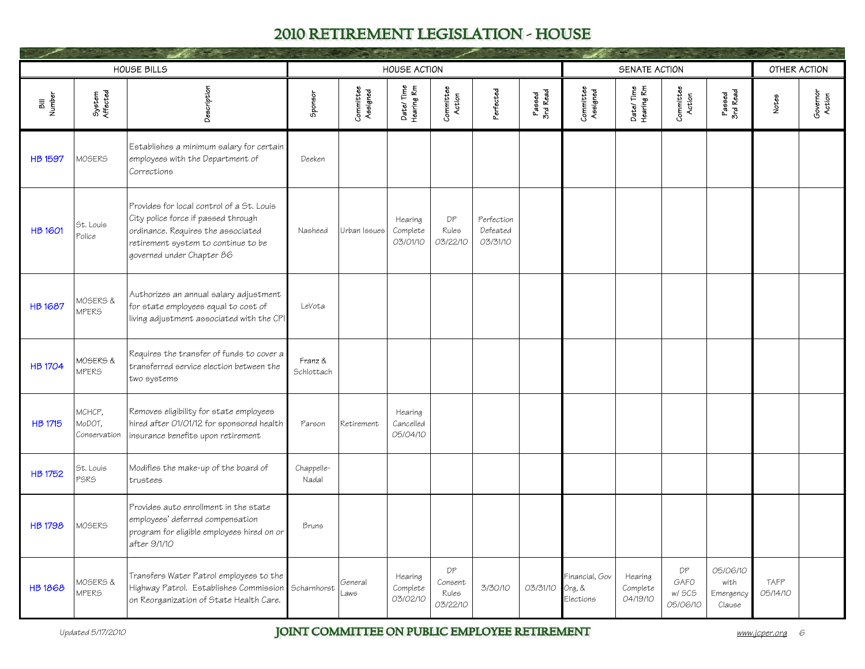|                |                                  | <b>HOUSE BILLS</b>                                                                                                                                                                         |                       |                       | <b>HOUSE ACTION</b>              |                                    |                                    |                    |                                       | SENATE ACTION                   |                                  |                                         | OTHER ACTION     |                    |
|----------------|----------------------------------|--------------------------------------------------------------------------------------------------------------------------------------------------------------------------------------------|-----------------------|-----------------------|----------------------------------|------------------------------------|------------------------------------|--------------------|---------------------------------------|---------------------------------|----------------------------------|-----------------------------------------|------------------|--------------------|
| Bill<br>Number | System<br>Affected               | Description                                                                                                                                                                                | Sponsor               | Committee<br>Assigned | Date/Time<br>Hearing Rm          | Committee<br>Action                | <sup>2</sup> erfected              | Passed<br>3rd Read | Committee<br>Assigned                 | Date/Time<br>Hearing Rm         | Committee<br>Action              | Passed<br>3rd Read                      | Notes            | Governor<br>Action |
| <b>HB 1597</b> | MOSERS                           | Establishes a minimum salary for certain<br>employees with the Department of<br>Corrections                                                                                                | Deeken                |                       |                                  |                                    |                                    |                    |                                       |                                 |                                  |                                         |                  |                    |
| <b>HB 1601</b> | St. Louis<br>Police              | Provides for local control of a St. Louis<br>City police force if passed through<br>ordinance. Requires the associated<br>retirement system to continue to be<br>governed under Chapter 86 | Nasheed               | Urban Issues          | Hearing<br>Complete<br>03/01/10  | DP<br>Rules<br>03/22/10            | Perfection<br>Defeated<br>03/31/10 |                    |                                       |                                 |                                  |                                         |                  |                    |
| <b>HB 1687</b> | MOSERS &<br><b>MPERS</b>         | Authorizes an annual salary adjustment<br>for state employees equal to cost of<br>living adjustment associated with the CPI                                                                | LeVota                |                       |                                  |                                    |                                    |                    |                                       |                                 |                                  |                                         |                  |                    |
| <b>HB 1704</b> | MOSERS &<br><b>MPERS</b>         | Requires the transfer of funds to cover a<br>transferred service election between the<br>two systems                                                                                       | Franz &<br>Schlottach |                       |                                  |                                    |                                    |                    |                                       |                                 |                                  |                                         |                  |                    |
| <b>HB 1715</b> | МСНСР,<br>MoDOT,<br>Conservation | Removes eligibility for state employees<br>hired after 01/01/12 for sponsored health<br>insurance benefits upon retirement                                                                 | Parson                | Retirement            | Hearing<br>Cancelled<br>05/04/10 |                                    |                                    |                    |                                       |                                 |                                  |                                         |                  |                    |
| <b>HB 1752</b> | St. Louis<br><b>PSRS</b>         | Modifies the make-up of the board of<br>trustees                                                                                                                                           | Chappelle-<br>Nadal   |                       |                                  |                                    |                                    |                    |                                       |                                 |                                  |                                         |                  |                    |
| <b>HB 1798</b> | MOSERS                           | Provides auto enrollment in the state<br>employees' deferred compensation<br>program for eligible employees hired on or<br>after 9/1/10                                                    | Bruns                 |                       |                                  |                                    |                                    |                    |                                       |                                 |                                  |                                         |                  |                    |
| <b>HB1868</b>  | MOSERS &<br><b>MPERS</b>         | Transfers Water Patrol employees to the<br>Highway Patrol. Establishes Commission<br>on Reorganization of State Health Care.                                                               | Scharnhorst           | General<br>aws        | Hearing<br>Complete<br>03/02/10  | DP<br>Consent<br>Rules<br>03/22/10 | 3/30/10                            | 03/31/10           | Financial, Gov<br>Org, &<br>Elections | Hearing<br>Complete<br>04/19/10 | DP<br>GAFO<br>w/ SCS<br>05/06/10 | 05/06/10<br>with<br>Emergency<br>Clause | TAFP<br>05/14/10 |                    |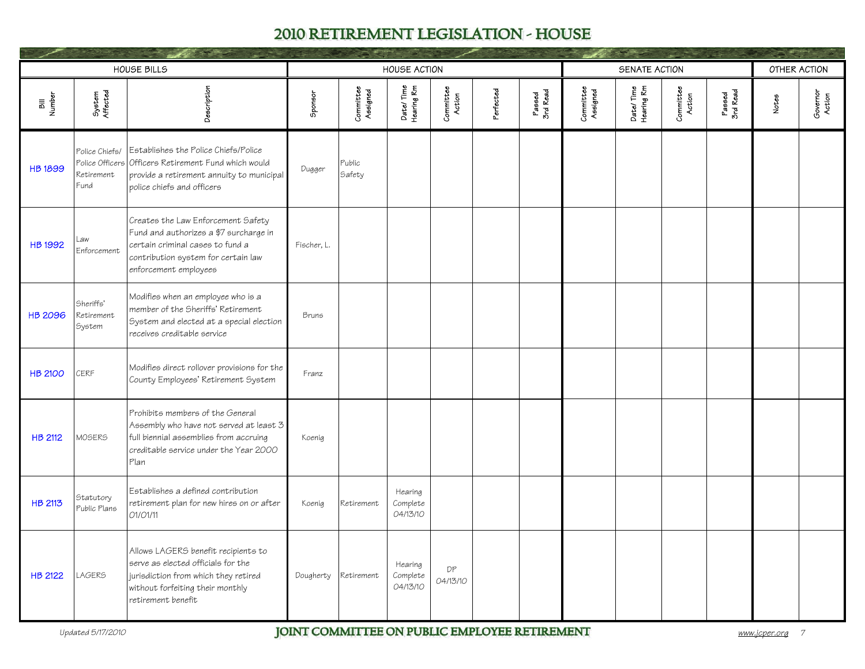|                |                                                         | HOUSE BILLS                                                                                                                                                                      |             |                       | <b>HOUSE ACTION</b>             |                     |           |                    |                       | SENATE ACTION           |                     |                    | OTHER ACTION |                    |
|----------------|---------------------------------------------------------|----------------------------------------------------------------------------------------------------------------------------------------------------------------------------------|-------------|-----------------------|---------------------------------|---------------------|-----------|--------------------|-----------------------|-------------------------|---------------------|--------------------|--------------|--------------------|
| Bill<br>Number | System<br>Affected                                      | Description                                                                                                                                                                      | Sponsor     | Committee<br>Assigned | Date/Time<br>Hearing Rm         | Committee<br>Action | Perfected | Passed<br>3rd Read | Committee<br>Assigned | Date/Time<br>Hearing Rm | Committee<br>Action | Passed<br>3rd Read | Notes        | Governor<br>Action |
| <b>HB1899</b>  | Police Chiefs/<br>Police Officers<br>Retirement<br>Fund | Establishes the Police Chiefs/Police<br>Officers Retirement Fund which would<br>provide a retirement annuity to municipal<br>police chiefs and officers                          | Dugger      | Public<br>Safety      |                                 |                     |           |                    |                       |                         |                     |                    |              |                    |
| <b>HB 1992</b> | _aw<br>Enforcement                                      | Creates the Law Enforcement Safety<br>Fund and authorizes a \$7 surcharge in<br>certain criminal cases to fund a<br>contribution system for certain law<br>enforcement employees | Fischer, L. |                       |                                 |                     |           |                    |                       |                         |                     |                    |              |                    |
| <b>HB 2096</b> | Sheriffs'<br>Retirement<br>System                       | Modifies when an employee who is a<br>member of the Sheriffs' Retirement<br>System and elected at a special election<br>receives creditable service                              | Bruns       |                       |                                 |                     |           |                    |                       |                         |                     |                    |              |                    |
| <b>HB 2100</b> | <b>CERF</b>                                             | Modifies direct rollover provisions for the<br>County Employees' Retirement System                                                                                               | Franz       |                       |                                 |                     |           |                    |                       |                         |                     |                    |              |                    |
| <b>HB 2112</b> | <b>MOSERS</b>                                           | Prohibits members of the General<br>Assembly who have not served at least 3<br>full biennial assemblies from accruing<br>creditable service under the Year 2000<br>Plan          | Koenig      |                       |                                 |                     |           |                    |                       |                         |                     |                    |              |                    |
| HB 2113        | Statutory<br>Public Plans                               | Establishes a defined contribution<br>retirement plan for new hires on or after<br>01/01/11                                                                                      | Koenig      | Retirement            | Hearing<br>Complete<br>04/13/10 |                     |           |                    |                       |                         |                     |                    |              |                    |
| <b>HB 2122</b> | <b>LAGERS</b>                                           | Allows LAGERS benefit recipients to<br>serve as elected officials for the<br>jurisdiction from which they retired<br>without forfeiting their monthly<br>retirement benefit      | Dougherty   | Retirement            | Hearing<br>Complete<br>04/13/10 | DP<br>04/13/10      |           |                    |                       |                         |                     |                    |              |                    |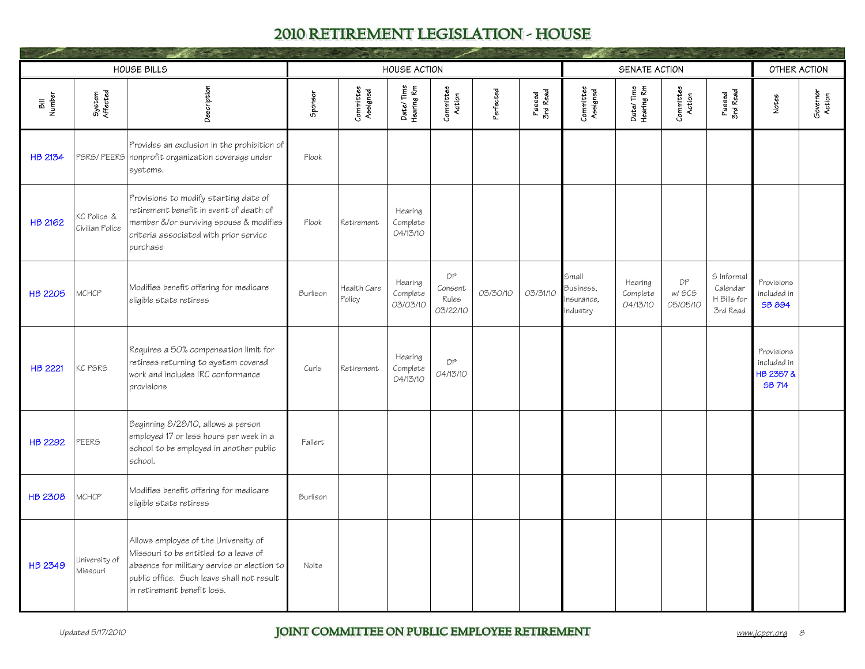|                |                                | HOUSE BILLS                                                                                                                                                                                               |          |                       | <b>HOUSE ACTION</b>             |                                    |           |                    |                                             | SENATE ACTION                   |                          |                                                   | OTHER ACTION                                            |                    |
|----------------|--------------------------------|-----------------------------------------------------------------------------------------------------------------------------------------------------------------------------------------------------------|----------|-----------------------|---------------------------------|------------------------------------|-----------|--------------------|---------------------------------------------|---------------------------------|--------------------------|---------------------------------------------------|---------------------------------------------------------|--------------------|
| Bill<br>Number | System<br>Affected             | Description                                                                                                                                                                                               | Sponsor  | Committee<br>Assigned | Date/Time<br>Hearing Rm         | Committee<br>Action                | Perfected | Passed<br>3rd Read | Committee<br>Assigned                       | Date/Time<br>Hearing Rm         | Committee<br>Action      | Passed<br>3rd Read                                | Notes                                                   | Governor<br>Action |
| <b>HB 2134</b> |                                | Provides an exclusion in the prohibition of<br>PSRS/PEERS nonprofit organization coverage under<br>systems.                                                                                               | Flook    |                       |                                 |                                    |           |                    |                                             |                                 |                          |                                                   |                                                         |                    |
| <b>HB 2162</b> | KC Police &<br>Civilian Police | Provisions to modify starting date of<br>retirement benefit in event of death of<br>member &/or surviving spouse & modifies<br>criteria associated with prior service<br>purchase                         | Flook    | Retirement            | Hearing<br>Complete<br>04/13/10 |                                    |           |                    |                                             |                                 |                          |                                                   |                                                         |                    |
| <b>HB 2205</b> | <b>MCHCP</b>                   | Modifies benefit offering for medicare<br>eligible state retirees                                                                                                                                         | Burlison | Health Care<br>Policy | Hearing<br>Complete<br>03/03/10 | DP<br>Consent<br>Rules<br>03/22/10 | 03/30/10  | 03/31/10           | Small<br>Business,<br>nsurance,<br>Industry | Hearing<br>Complete<br>04/13/10 | DP<br>w/ SCS<br>05/05/10 | S Informal<br>Calendar<br>H Bills for<br>3rd Read | Provisions<br>included in<br>SB 894                     |                    |
| <b>HB 2221</b> | KC PSRS                        | Requires a 50% compensation limit for<br>retirees returning to system covered<br>work and includes IRC conformance<br>provisions                                                                          | Curls    | Retirement            | Hearing<br>Complete<br>04/13/10 | DP<br>04/13/10                     |           |                    |                                             |                                 |                          |                                                   | Provisions<br>included in<br>HB 2357 &<br><b>SB 714</b> |                    |
| <b>HB 2292</b> | <b>PEERS</b>                   | Beginning 8/28/10, allows a person<br>employed 17 or less hours per week in a<br>school to be employed in another public<br>school.                                                                       | Fallert  |                       |                                 |                                    |           |                    |                                             |                                 |                          |                                                   |                                                         |                    |
| <b>HB 2308</b> | <b>MCHCP</b>                   | Modifies benefit offering for medicare<br>eligible state retirees                                                                                                                                         | Burlison |                       |                                 |                                    |           |                    |                                             |                                 |                          |                                                   |                                                         |                    |
| <b>HB 2349</b> | University of<br>Missouri      | Allows employee of the University of<br>Missouri to be entitled to a leave of<br>absence for military service or election to<br>public office. Such leave shall not result<br>in retirement benefit loss. | Nolte    |                       |                                 |                                    |           |                    |                                             |                                 |                          |                                                   |                                                         |                    |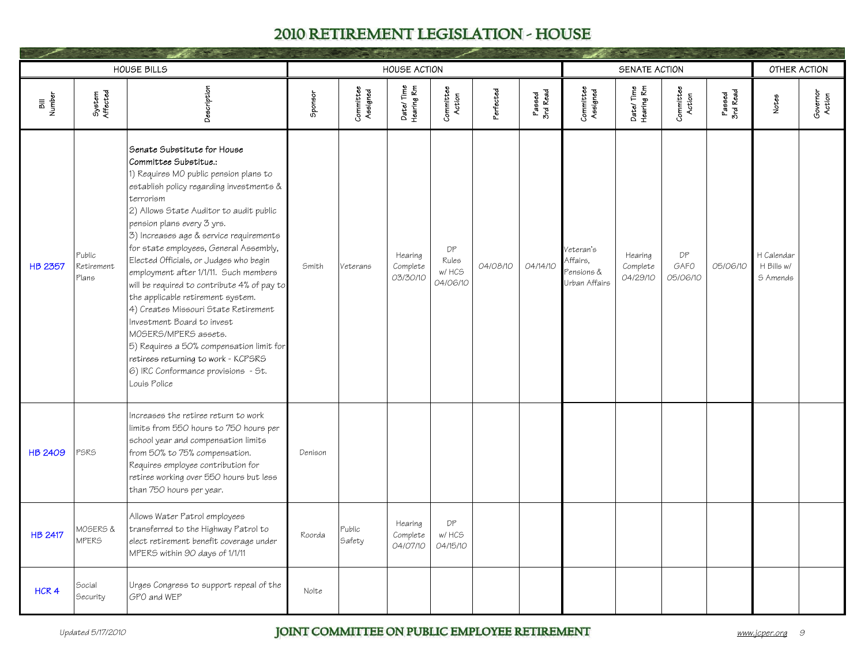|                  |                               | HOUSE BILLS                                                                                                                                                                                                                                                                                                                                                                                                                                                                                                                                                                                                                                                                                                                          |         |                       | <b>HOUSE ACTION</b>             |                                   |           |                    |                                                                  | SENATE ACTION                   |                        |                    | OTHER ACTION                         |                    |
|------------------|-------------------------------|--------------------------------------------------------------------------------------------------------------------------------------------------------------------------------------------------------------------------------------------------------------------------------------------------------------------------------------------------------------------------------------------------------------------------------------------------------------------------------------------------------------------------------------------------------------------------------------------------------------------------------------------------------------------------------------------------------------------------------------|---------|-----------------------|---------------------------------|-----------------------------------|-----------|--------------------|------------------------------------------------------------------|---------------------------------|------------------------|--------------------|--------------------------------------|--------------------|
| Bill<br>Number   | System<br>Affected            | Description                                                                                                                                                                                                                                                                                                                                                                                                                                                                                                                                                                                                                                                                                                                          | Sponsor | Committee<br>Assigned | Date/Time<br>Hearing Rm         | Committee<br>Action               | Perfected | Passed<br>3rd Read | Committee<br>Assigned                                            | Date/Time<br>Hearing Rm         | Committee<br>Action    | Passed<br>3rd Read | Notes                                | Governor<br>Action |
| HB 2357          | Public<br>Retirement<br>Plans | Senate Substitute for House<br>Committee Substitue.:<br>1) Requires MO public pension plans to<br>establish policy regarding investments &<br>terrorism<br>2) Allows State Auditor to audit public<br>pension plans every 3 yrs.<br>3) Increases age & service requirements<br>for state employees, General Assembly,<br>Elected Officials, or Judges who begin<br>employment after 1/1/11. Such members<br>will be required to contribute 4% of pay to<br>the applicable retirement system.<br>4) Creates Missouri State Retirement<br>Investment Board to invest<br>MOSERS/MPERS assets.<br>5) Requires a 50% compensation limit for<br>retirees returning to work - KCPSRS<br>6) IRC Conformance provisions - St.<br>Louis Police | Smith   | <b>Veterans</b>       | Hearing<br>Complete<br>03/30/10 | DP<br>Rules<br>w/ HCS<br>04/06/10 | 04/08/10  | 04/14/10           | Veteran's<br>Affairs.<br><sup>2</sup> ensions &<br>Urban Affairs | Hearing<br>Complete<br>04/29/10 | DP<br>GAFO<br>05/06/10 | 05/06/10           | H Calendar<br>H Bills w/<br>S Amends |                    |
| <b>HB 2409</b>   | PSRS                          | Increases the retiree return to work<br>limits from 550 hours to 750 hours per<br>school year and compensation limits<br>from 50% to 75% compensation.<br>Requires employee contribution for<br>retiree working over 550 hours but less<br>than 750 hours per year.                                                                                                                                                                                                                                                                                                                                                                                                                                                                  | Denison |                       |                                 |                                   |           |                    |                                                                  |                                 |                        |                    |                                      |                    |
| <b>HB 2417</b>   | MOSERS &<br><b>MPERS</b>      | Allows Water Patrol employees<br>transferred to the Highway Patrol to<br>elect retirement benefit coverage under<br>MPERS within 90 days of 1/1/11                                                                                                                                                                                                                                                                                                                                                                                                                                                                                                                                                                                   | Roorda  | Public<br>Safety      | Hearing<br>Complete<br>04/07/10 | DP<br>w/ HCS<br>04/15/10          |           |                    |                                                                  |                                 |                        |                    |                                      |                    |
| HCR <sub>4</sub> | Social<br>Security            | Urges Congress to support repeal of the<br>GPO and WEP                                                                                                                                                                                                                                                                                                                                                                                                                                                                                                                                                                                                                                                                               | Nolte   |                       |                                 |                                   |           |                    |                                                                  |                                 |                        |                    |                                      |                    |